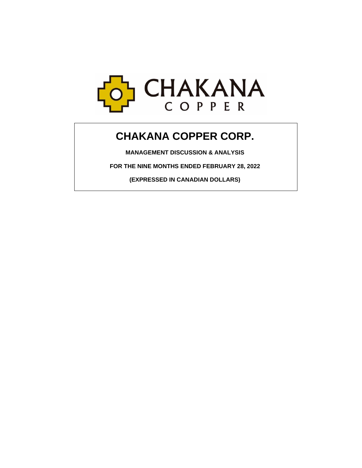

# **CHAKANA COPPER CORP.**

**MANAGEMENT DISCUSSION & ANALYSIS**

**FOR THE NINE MONTHS ENDED FEBRUARY 28, 2022**

**(EXPRESSED IN CANADIAN DOLLARS)**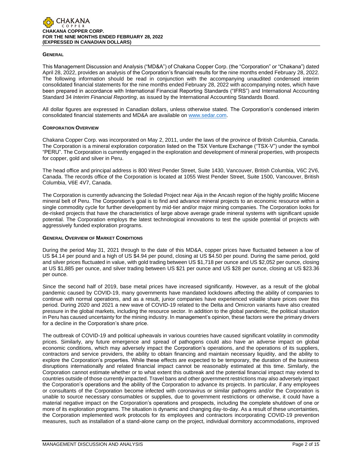

#### **GENERAL**

This Management Discussion and Analysis ("MD&A") of Chakana Copper Corp. (the "Corporation" or "Chakana") dated April 28, 2022, provides an analysis of the Corporation's financial results for the nine months ended February 28, 2022. The following information should be read in conjunction with the accompanying unaudited condensed interim consolidated financial statements for the nine months ended February 28, 2022 with accompanying notes, which have been prepared in accordance with International Financial Reporting Standards ("IFRS") and International Accounting Standard 34 *Interim Financial Reporting*, as issued by the International Accounting Standards Board.

All dollar figures are expressed in Canadian dollars, unless otherwise stated. The Corporation's condensed interim consolidated financial statements and MD&A are available on [www.sedar.com.](http://www.sedar.com/)

## **CORPORATION OVERVIEW**

Chakana Copper Corp. was incorporated on May 2, 2011, under the laws of the province of British Columbia, Canada. The Corporation is a mineral exploration corporation listed on the TSX Venture Exchange ("TSX-V") under the symbol "PERU". The Corporation is currently engaged in the exploration and development of mineral properties, with prospects for copper, gold and silver in Peru.

The head office and principal address is 800 West Pender Street, Suite 1430, Vancouver, British Columbia, V6C 2V6, Canada. The records office of the Corporation is located at 1055 West Pender Street, Suite 1500, Vancouver, British Columbia, V6E 4V7, Canada.

The Corporation is currently advancing the Soledad Project near Aija in the Ancash region of the highly prolific Miocene mineral belt of Peru. The Corporation's goal is to find and advance mineral projects to an economic resource within a single commodity cycle for further development by mid-tier and/or major mining companies. The Corporation looks for de-risked projects that have the characteristics of large above average grade mineral systems with significant upside potential. The Corporation employs the latest technological innovations to test the upside potential of projects with aggressively funded exploration programs.

## **GENERAL OVERVIEW OF MARKET CONDITIONS**

During the period May 31, 2021 through to the date of this MD&A, copper prices have fluctuated between a low of US \$4.14 per pound and a high of US \$4.94 per pound, closing at US \$4.50 per pound. During the same period, gold and silver prices fluctuated in value, with gold trading between US \$1,718 per ounce and US \$2,052 per ounce, closing at US \$1,885 per ounce, and silver trading between US \$21 per ounce and US \$28 per ounce, closing at US \$23.36 per ounce.

Since the second half of 2019, base metal prices have increased significantly. However, as a result of the global pandemic caused by COVID-19, many governments have mandated lockdowns affecting the ability of companies to continue with normal operations, and as a result, junior companies have experienced volatile share prices over this period. During 2020 and 2021 a new wave of COVID-19 related to the Delta and Omicron variants have also created pressure in the global markets, including the resource sector. In addition to the global pandemic, the political situation in Peru has caused uncertainty for the mining industry. In management's opinion, these factors were the primary drivers for a decline in the Corporation's share price.

The outbreak of COVID-19 and political upheavals in various countries have caused significant volatility in commodity prices. Similarly, any future emergence and spread of pathogens could also have an adverse impact on global economic conditions, which may adversely impact the Corporation's operations, and the operations of its suppliers, contractors and service providers, the ability to obtain financing and maintain necessary liquidity, and the ability to explore the Corporation's properties. While these effects are expected to be temporary, the duration of the business disruptions internationally and related financial impact cannot be reasonably estimated at this time. Similarly, the Corporation cannot estimate whether or to what extent this outbreak and the potential financial impact may extend to countries outside of those currently impacted. Travel bans and other government restrictions may also adversely impact the Corporation's operations and the ability of the Corporation to advance its projects. In particular, if any employees or consultants of the Corporation become infected with coronavirus or similar pathogens and/or the Corporation is unable to source necessary consumables or supplies, due to government restrictions or otherwise, it could have a material negative impact on the Corporation's operations and prospects, including the complete shutdown of one or more of its exploration programs. The situation is dynamic and changing day-to-day. As a result of these uncertainties, the Corporation implemented work protocols for its employees and contractors incorporating COVID-19 prevention measures, such as installation of a stand-alone camp on the project, individual dormitory accommodations, improved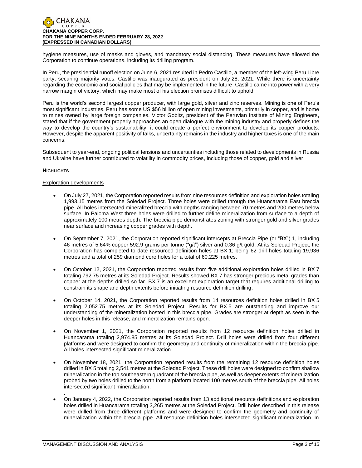

hygiene measures, use of masks and gloves, and mandatory social distancing. These measures have allowed the Corporation to continue operations, including its drilling program.

In Peru, the presidential runoff election on June 6, 2021 resulted in Pedro Castillo, a member of the left-wing Peru Libre party, securing majority votes. Castillo was inaugurated as president on July 28, 2021. While there is uncertainty regarding the economic and social policies that may be implemented in the future, Castillo came into power with a very narrow margin of victory, which may make most of his election promises difficult to uphold.

Peru is the world's second largest copper producer, with large gold, silver and zinc reserves. Mining is one of Peru's most significant industries. Peru has some US \$56 billion of open mining investments, primarily in copper, and is home to mines owned by large foreign companies. Victor Gobitz, president of the Peruvian Institute of Mining Engineers, stated that if the government properly approaches an open dialogue with the mining industry and properly defines the way to develop the country's sustainability, it could create a perfect environment to develop its copper products. However, despite the apparent positivity of talks, uncertainty remains in the industry and higher taxes is one of the main concerns.

Subsequent to year-end, ongoing political tensions and uncertainties including those related to developments in Russia and Ukraine have further contributed to volatility in commodity prices, including those of copper, gold and silver.

# **HIGHLIGHTS**

## Exploration developments

- On July 27, 2021, the Corporation reported results from nine resources definition and exploration holes totaling 1,993.15 metres from the Soledad Project. Three holes were drilled through the Huancarama East breccia pipe. All holes intersected mineralized breccia with depths ranging between 70 metres and 200 metres below surface. In Paloma West three holes were drilled to further define mineralization from surface to a depth of approximately 100 metres depth. The breccia pipe demonstrates zoning with stronger gold and silver grades near surface and increasing copper grades with depth.
- On September 7, 2021, the Corporation reported significant intercepts at Breccia Pipe (or "BX") 1, including 46 metres of 5.64% copper 592.9 grams per tonne ("g/t") silver and 0.36 g/t gold. At its Soledad Project, the Corporation has completed to date resourced definition holes at BX 1; being 62 drill holes totaling 19,936 metres and a total of 259 diamond core holes for a total of 60,225 metres.
- On October 12, 2021, the Corporation reported results from five additional exploration holes drilled in BX 7 totaling 792.75 metres at its Soledad Project. Results showed BX 7 has stronger precious metal grades than copper at the depths drilled so far. BX 7 is an excellent exploration target that requires additional drilling to constrain its shape and depth extents before initiating resource definition drilling.
- On October 14, 2021, the Corporation reported results from 14 resources definition holes drilled in BX 5 totaling 2,052.75 metres at its Soledad Project. Results for BX 5 are outstanding and improve our understanding of the mineralization hosted in this breccia pipe. Grades are stronger at depth as seen in the deeper holes in this release, and mineralization remains open.
- On November 1, 2021, the Corporation reported results from 12 resource definition holes drilled in Huancarama totaling 2,974.85 metres at its Soledad Project. Drill holes were drilled from four different platforms and were designed to confirm the geometry and continuity of mineralization within the breccia pipe. All holes intersected significant mineralization.
- On November 18, 2021, the Corporation reported results from the remaining 12 resource definition holes drilled in BX 5 totaling 2,541 metres at the Soledad Project. These drill holes were designed to confirm shallow mineralization in the top southeastern quadrant of the breccia pipe, as well as deeper extents of mineralization probed by two holes drilled to the north from a platform located 100 metres south of the breccia pipe. All holes intersected significant mineralization.
- On January 4, 2022, the Corporation reported results from 13 additional resource definitions and exploration holes drilled in Huancarama totaling 3,265 metres at the Soledad Project. Drill holes described in this release were drilled from three different platforms and were designed to confirm the geometry and continuity of mineralization within the breccia pipe. All resource definition holes intersected significant mineralization. In

.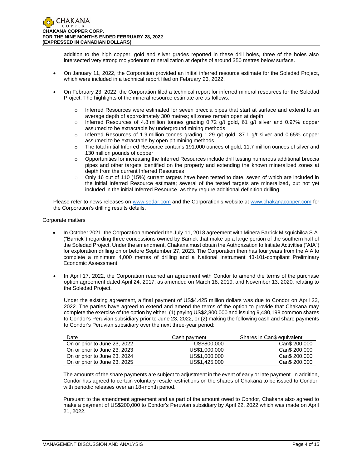addition to the high copper, gold and silver grades reported in these drill holes, three of the holes also intersected very strong molybdenum mineralization at depths of around 350 metres below surface.

- On January 11, 2022, the Corporation provided an initial inferred resource estimate for the Soledad Project, which were included in a technical report filed on February 23, 2022.
- On February 23, 2022, the Corporation filed a technical report for inferred mineral resources for the Soledad Project. The highlights of the mineral resource estimate are as follows:
	- o Inferred Resources were estimated for seven breccia pipes that start at surface and extend to an average depth of approximately 300 metres; all zones remain open at depth
	- $\circ$  Inferred Resources of 4.8 million tonnes grading 0.72 g/t gold, 61 g/t silver and 0.97% copper assumed to be extractable by underground mining methods
	- $\circ$  Inferred Resources of 1.9 million tonnes grading 1.29 g/t gold, 37.1 g/t silver and 0.65% copper assumed to be extractable by open pit mining methods
	- o The total initial Inferred Resource contains 191,000 ounces of gold, 11.7 million ounces of silver and 130 million pounds of copper
	- $\circ$  Opportunities for increasing the Inferred Resources include drill testing numerous additional breccia pipes and other targets identified on the property and extending the known mineralized zones at depth from the current Inferred Resources
	- o Only 16 out of 110 (15%) current targets have been tested to date, seven of which are included in the initial Inferred Resource estimate; several of the tested targets are mineralized, but not yet included in the initial Inferred Resource, as they require additional definition drilling.

Please refer to news releases on [www.sedar.com](http://www.sedar.com/) and the Corporation's website at [www.chakanacopper.com](http://www.chakanacopper.com/) for the Corporation's drilling results details.

## Corporate matters

- In October 2021, the Corporation amended the July 11, 2018 agreement with Minera Barrick Misquichilca S.A. ("Barrick") regarding three concessions owned by Barrick that make up a large portion of the southern half of the Soledad Project. Under the amendment, Chakana must obtain the Authorization to Initiate Activities ("AIA") for exploration drilling on or before September 27, 2023. The Corporation then has four years from the AIA to complete a minimum 4,000 metres of drilling and a National Instrument 43-101-compliant Preliminary Economic Assessment.
- In April 17, 2022, the Corporation reached an agreement with Condor to amend the terms of the purchase option agreement dated April 24, 2017, as amended on March 18, 2019, and November 13, 2020, relating to the Soledad Project.

Under the existing agreement, a final payment of US\$4.425 million dollars was due to Condor on April 23, 2022. The parties have agreed to extend and amend the terms of the option to provide that Chakana may complete the exercise of the option by either, (1) paying US\$2,800,000 and issuing 9,480,198 common shares to Condor's Peruvian subsidiary prior to June 23, 2022, or (2) making the following cash and share payments to Condor's Peruvian subsidiary over the next three-year period:

| Date                         | Cash payment  | Shares in Can\$ equivalent |
|------------------------------|---------------|----------------------------|
| On or prior to June 23, 2022 | US\$800,000   | Can\$ 200,000              |
| On or prior to June 23, 2023 | US\$1,000,000 | Can\$ 200,000              |
| On or prior to June 23, 2024 | US\$1,000,000 | Can\$ 200,000              |
| On or prior to June 23, 2025 | US\$1,425,000 | Can\$ 200,000              |

The amounts of the share payments are subject to adjustment in the event of early or late payment. In addition, Condor has agreed to certain voluntary resale restrictions on the shares of Chakana to be issued to Condor, with periodic releases over an 18-month period.

Pursuant to the amendment agreement and as part of the amount owed to Condor, Chakana also agreed to make a payment of US\$200,000 to Condor's Peruvian subsidiary by April 22, 2022 which was made on April 21, 2022.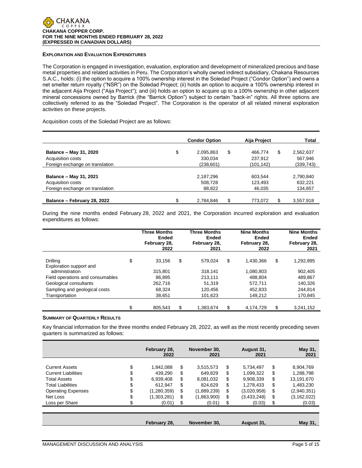## **EXPLORATION AND EVALUATION EXPENDITURES**

The Corporation is engaged in investigation, evaluation, exploration and development of mineralized precious and base metal properties and related activities in Peru. The Corporation's wholly owned indirect subsidiary, Chakana Resources S.A.C., holds: (i) the option to acquire a 100% ownership interest in the Soledad Project ("Condor Option") and owns a net smelter return royalty ("NSR") on the Soledad Project; (ii) holds an option to acquire a 100% ownership interest in the adjacent Aija Project ("Aija Project"); and (iii) holds an option to acquire up to a 100% ownership in other adjacent mineral concessions owned by Barrick (the "Barrick Option") subject to certain "back-in" rights. All three options are collectively referred to as the "Soledad Project". The Corporation is the operator of all related mineral exploration activities on these projects.

Acquisition costs of the Soledad Project are as follows:

|                                 | <b>Condor Option</b>  | Aija Project  | Total     |  |
|---------------------------------|-----------------------|---------------|-----------|--|
| Balance - May 31, 2020          | \$<br>\$<br>2,095,863 | \$<br>466.774 | 2,562,637 |  |
| Acquisition costs               | 330.034               | 237.912       | 567,946   |  |
| Foreign exchange on translation | (238,601)             | (101,142)     | (339,743) |  |
| Balance - May 31, 2021          | 2,187,296             | 603,544       | 2,790,840 |  |
| Acquisition costs               | 508.728               | 123.493       | 632.221   |  |
| Foreign exchange on translation | 88,822                | 46,035        | 134,857   |  |
| Balance - February 28, 2022     | \$<br>\$<br>2,784,846 | S<br>773.072  | 3,557,918 |  |

During the nine months ended February 28, 2022 and 2021, the Corporation incurred exploration and evaluation expenditures as follows:

|                                           | <b>Three Months</b><br>Ended<br>February 28,<br>2022 | <b>Three Months</b><br><b>Ended</b><br>February 28,<br>2021 | <b>Nine Months</b><br><b>Ended</b><br>February 28,<br>2022 | <b>Nine Months</b><br><b>Ended</b><br>February 28,<br>2021 |
|-------------------------------------------|------------------------------------------------------|-------------------------------------------------------------|------------------------------------------------------------|------------------------------------------------------------|
| <b>Drilling</b>                           | \$<br>33.156                                         | \$<br>579.024                                               | \$<br>1.430.366                                            | \$<br>1,292,895                                            |
| Exploration support and<br>administration | 315.801                                              | 318.141                                                     | 1,080,803                                                  | 902.405                                                    |
| Field operations and consumables          | 86.895                                               | 213.111                                                     | 488.804                                                    | 489.867                                                    |
| Geological consultants                    | 262.716                                              | 51.319                                                      | 572.711                                                    | 140.326                                                    |
| Sampling and geological costs             | 68.324                                               | 120.456                                                     | 452.833                                                    | 244.814                                                    |
| Transportation                            | 38,651                                               | 101,623                                                     | 149,212                                                    | 170,845                                                    |
|                                           | \$<br>805.543                                        | \$<br>1,383,674                                             | \$<br>4.174.729                                            | \$<br>3,241,152                                            |

## **SUMMARY OF QUARTERLY RESULTS**

Key financial information for the three months ended February 28, 2022, as well as the most recently preceding seven quarters is summarized as follows:

|                            |    | February 28,<br>2022 |    | November 30.<br>2021 | August 31,<br>2021 | May 31,<br>2021     |
|----------------------------|----|----------------------|----|----------------------|--------------------|---------------------|
| <b>Current Assets</b>      | \$ | 1.842.088            | \$ | 3,515,573            | \$<br>5,734,497    | \$<br>8,904,769     |
| <b>Current Liabilities</b> |    | 439.290              | S  | 649.829              | \$<br>1.099.322    | \$<br>1.288.798     |
| <b>Total Assets</b>        | Φ  | 6,939,408            | S  | 8,081,032            | \$<br>9,908,339    | \$<br>13,191,670    |
| <b>Total Liabilities</b>   | J  | 612.947              | S  | 824.629              | \$<br>1.278.433    | \$<br>1.483.230     |
| <b>Operating Expenses</b>  | Φ  | (1,280,359)          | \$ | (1,889,239)          | \$<br>(3,020,958)  | \$<br>(2,940,351)   |
| Net Loss                   | J  | (1,303,281)          | \$ | (1,863,900)          | \$<br>(3,433,248)  | \$<br>(3, 162, 022) |
| Loss per Share             |    | (0.01)               | S  | (0.01)               | \$<br>(0.03)       | \$<br>(0.03)        |
|                            |    |                      |    |                      |                    |                     |
|                            |    | February 28,         |    | November 30.         | August 31,         | May 31,             |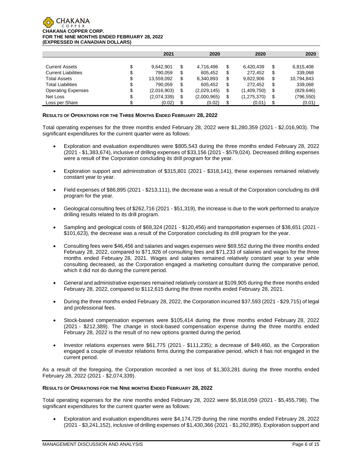

|                            |    | 2021        |    | 2020        | 2020              | 2020             |
|----------------------------|----|-------------|----|-------------|-------------------|------------------|
|                            |    |             |    |             |                   |                  |
| <b>Current Assets</b>      | Œ  | 9.642.901   | \$ | 4,716,496   | \$<br>6.420.439   | \$<br>6,815,408  |
| <b>Current Liabilities</b> | J  | 790.059     | S  | 605.452     | \$<br>272.452     | \$<br>339,068    |
| <b>Total Assets</b>        | \$ | 13.559.092  | S  | 8,340,893   | \$<br>9.822.906   | \$<br>10,794,843 |
| <b>Total Liabilities</b>   | \$ | 790.059     | S  | 605.452     | \$<br>272.452     | \$<br>339,068    |
| <b>Operating Expenses</b>  | \$ | (2,016,903) | S  | (2,029,145) | \$<br>(1,409,750) | \$<br>(829, 646) |
| Net Loss                   | \$ | (2,074,339) | \$ | (2,000,965) | \$<br>(1,275,370) | \$<br>(796, 550) |
| Loss per Share             |    | (0.02)      |    | (0.02)      | (0.01)            | \$<br>(0.01)     |

## **RESULTS OF OPERATIONS FOR THE THREE MONTHS ENDED FEBRUARY 28, 2022**

Total operating expenses for the three months ended February 28, 2022 were \$1,280,359 (2021 - \$2,016,903). The significant expenditures for the current quarter were as follows:

- Exploration and evaluation expenditures were \$805,543 during the three months ended February 28, 2022 (2021 - \$1,383,674), inclusive of drilling expenses of \$33,156 (2021 - \$579,024). Decreased drilling expenses were a result of the Corporation concluding its drill program for the year.
- Exploration support and administration of \$315,801 (2021 \$318,141), these expenses remained relatively constant year to year.
- Field expenses of \$86,895 (2021 \$213,111), the decrease was a result of the Corporation concluding its drill program for the year.
- Geological consulting fees of \$262,716 (2021 \$51,319), the increase is due to the work performed to analyze drilling results related to its drill program.
- Sampling and geological costs of \$68,324 (2021 \$120,456) and transportation expenses of \$38,651 (2021 \$101,623), the decrease was a result of the Corporation concluding its drill program for the year.
- Consulting fees were \$46,456 and salaries and wages expenses were \$69,552 during the three months ended February 28, 2022, compared to \$71,926 of consulting fees and \$71,233 of salaries and wages for the three months ended February 28, 2021. Wages and salaries remained relatively constant year to year while consulting decreased, as the Corporation engaged a marketing consultant during the comparative period, which it did not do during the current period.
- General and administrative expenses remained relatively constant at \$109,905 during the three months ended February 28, 2022, compared to \$112,615 during the three months ended February 28, 2021.
- During the three months ended February 28, 2022, the Corporation incurred \$37,593 (2021 \$29,715) of legal and professional fees.
- Stock-based compensation expenses were \$105,414 during the three months ended February 28, 2022 (2021 - \$212,389). The change in stock-based compensation expense during the three months ended February 28, 2022 is the result of no new options granted during the period.
- Investor relations expenses were \$61,775 (2021 \$111,235); a decrease of \$49,460, as the Corporation engaged a couple of investor relations firms during the comparative period, which it has not engaged in the current period.

As a result of the foregoing, the Corporation recorded a net loss of \$1,303,281 during the three months ended February 28, 2022 (2021 - \$2,074,339).

## **RESULTS OF OPERATIONS FOR THE NINE MONTHS ENDED FEBRUARY 28, 2022**

Total operating expenses for the nine months ended February 28, 2022 were \$5,918,059 (2021 - \$5,455,798). The significant expenditures for the current quarter were as follows:

• Exploration and evaluation expenditures were \$4,174,729 during the nine months ended February 28, 2022 (2021 - \$3,241,152), inclusive of drilling expenses of \$1,430,366 (2021 - \$1,292,895). Exploration support and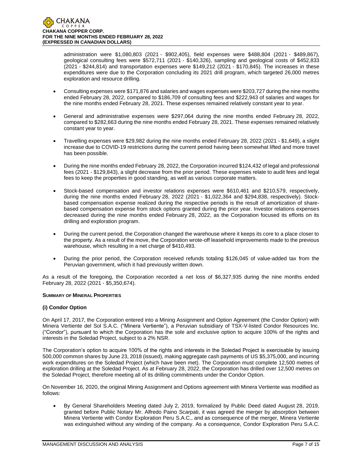administration were \$1,080,803 (2021 - \$902,405), field expenses were \$488,804 (2021 - \$489,867), geological consulting fees were \$572,711 (2021 - \$140,326), sampling and geological costs of \$452,833 (2021 - \$244,814) and transportation expenses were \$149,212 (2021 - \$170,845). The increases in these expenditures were due to the Corporation concluding its 2021 drill program, which targeted 26,000 metres exploration and resource drilling.

- Consulting expenses were \$171,876 and salaries and wages expenses were \$203,727 during the nine months ended February 28, 2022, compared to \$186,709 of consulting fees and \$222,943 of salaries and wages for the nine months ended February 28, 2021. These expenses remained relatively constant year to year.
- General and administrative expenses were \$297,064 during the nine months ended February 28, 2022, compared to \$282,663 during the nine months ended February 28, 2021. These expenses remained relatively constant year to year.
- Travelling expenses were \$29,982 during the nine months ended February 28, 2022 (2021 \$1,649), a slight increase due to COVID-19 restrictions during the current period having been somewhat lifted and more travel has been possible.
- During the nine months ended February 28, 2022, the Corporation incurred \$124,432 of legal and professional fees (2021 - \$129,843), a slight decrease from the prior period. These expenses relate to audit fees and legal fees to keep the properties in good standing, as well as various corporate matters.
- Stock-based compensation and investor relations expenses were \$610,461 and \$210,579, respectively, during the nine months ended February 28, 2022 (2021 - \$1,022,364 and \$294,838, respectively). Stockbased compensation expense realized during the respective periods is the result of amortization of sharebased compensation expense from stock options granted during the prior year. Investor relations expenses decreased during the nine months ended February 28, 2022, as the Corporation focused its efforts on its drilling and exploration program.
- During the current period, the Corporation changed the warehouse where it keeps its core to a place closer to the property. As a result of the move, the Corporation wrote-off leasehold improvements made to the previous warehouse, which resulting in a net charge of \$410,493.
- During the prior period, the Corporation received refunds totaling \$126,045 of value-added tax from the Peruvian government, which it had previously written down.

As a result of the foregoing, the Corporation recorded a net loss of \$6,327,935 during the nine months ended February 28, 2022 (2021 - \$5,350,674).

# **SUMMARY OF MINERAL PROPERTIES**

# **(i) Condor Option**

On April 17, 2017, the Corporation entered into a Mining Assignment and Option Agreement (the Condor Option) with Minera Vertiente del Sol S.A.C. ("Minera Vertiente"), a Peruvian subsidiary of TSX-V-listed Condor Resources Inc. ("Condor"), pursuant to which the Corporation has the sole and exclusive option to acquire 100% of the rights and interests in the Soledad Project, subject to a 2% NSR.

The Corporation's option to acquire 100% of the rights and interests in the Soledad Project is exercisable by issuing 500,000 common shares by June 23, 2018 (issued), making aggregate cash payments of US \$5,375,000, and incurring work expenditures on the Soledad Project (which have been met). The Corporation must complete 12,500 metres of exploration drilling at the Soledad Project. As at February 28, 2022, the Corporation has drilled over 12,500 metres on the Soledad Project, therefore meeting all of its drilling commitments under the Condor Option.

On November 16, 2020, the original Mining Assignment and Options agreement with Minera Vertiente was modified as follows:

• By General Shareholders Meeting dated July 2, 2019, formalized by Public Deed dated August 28, 2019, granted before Public Notary Mr. Alfredo Paino Scarpati, it was agreed the merger by absorption between Minera Vertiente with Condor Exploration Peru S.A.C., and as consequence of the merger, Minera Vertiente was extinguished without any winding of the company. As a consequence, Condor Exploration Peru S.A.C.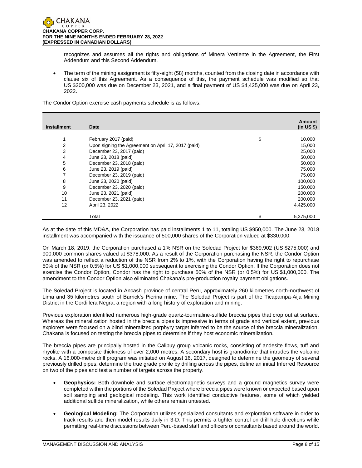recognizes and assumes all the rights and obligations of Minera Vertiente in the Agreement, the First Addendum and this Second Addendum.

• The term of the mining assignment is fifty-eight (58) months, counted from the closing date in accordance with clause six of this Agreement. As a consequence of this, the payment schedule was modified so that US \$200,000 was due on December 23, 2021, and a final payment of US \$4,425,000 was due on April 23, 2022.

The Condor Option exercise cash payments schedule is as follows:

| <b>Installment</b> | <b>Date</b>                                         | Amount<br>(in US \$) |
|--------------------|-----------------------------------------------------|----------------------|
|                    |                                                     |                      |
|                    | February 2017 (paid)                                | \$<br>10,000         |
| 2                  | Upon signing the Agreement on April 17, 2017 (paid) | 15,000               |
| 3                  | December 23, 2017 (paid)                            | 25,000               |
| 4                  | June 23, 2018 (paid)                                | 50,000               |
| 5                  | December 23, 2018 (paid)                            | 50,000               |
| 6                  | June 23, 2019 (paid)                                | 75,000               |
|                    | December 23, 2019 (paid)                            | 75,000               |
| 8                  | June 23, 2020 (paid)                                | 100,000              |
| 9                  | December 23, 2020 (paid)                            | 150,000              |
| 10                 | June 23, 2021 (paid)                                | 200,000              |
| 11                 | December 23, 2021 (paid)                            | 200,000              |
| 12                 | April 23, 2022                                      | 4,425,000            |
|                    | Total                                               | \$<br>5,375,000      |

As at the date of this MD&A, the Corporation has paid installments 1 to 11, totaling US \$950,000. The June 23, 2018 installment was accompanied with the issuance of 500,000 shares of the Corporation valued at \$330,000.

On March 18, 2019, the Corporation purchased a 1% NSR on the Soledad Project for \$369,902 (US \$275,000) and 900,000 common shares valued at \$378,000. As a result of the Corporation purchasing the NSR, the Condor Option was amended to reflect a reduction of the NSR from 2% to 1%, with the Corporation having the right to repurchase 50% of the NSR (or 0.5%) for US \$1,000,000 subsequent to exercising the Condor Option. If the Corporation does not exercise the Condor Option, Condor has the right to purchase 50% of the NSR (or 0.5%) for US \$1,000,000. The amendment to the Condor Option also eliminated Chakana's pre-production royalty payment obligations.

The Soledad Project is located in Ancash province of central Peru, approximately 260 kilometres north-northwest of Lima and 35 kilometres south of Barrick's Pierina mine. The Soledad Project is part of the Ticapampa-Aija Mining District in the Cordillera Negra, a region with a long history of exploration and mining.

Previous exploration identified numerous high-grade quartz-tourmaline-sulfide breccia pipes that crop out at surface. Whereas the mineralization hosted in the breccia pipes is impressive in terms of grade and vertical extent, previous explorers were focused on a blind mineralized porphyry target inferred to be the source of the breccia mineralization. Chakana is focused on testing the breccia pipes to determine if they host economic mineralization.

The breccia pipes are principally hosted in the Calipuy group volcanic rocks, consisting of andesite flows, tuff and rhyolite with a composite thickness of over 2,000 metres. A secondary host is granodiorite that intrudes the volcanic rocks. A 16,000-metre drill program was initiated on August 16, 2017, designed to determine the geometry of several previously drilled pipes, determine the true grade profile by drilling across the pipes, define an initial Inferred Resource on two of the pipes and test a number of targets across the property.

- **Geophysics:** Both downhole and surface electromagnetic surveys and a ground magnetics survey were completed within the portions of the Soledad Project where breccia pipes were known or expected based upon soil sampling and geological modeling. This work identified conductive features, some of which yielded additional sulfide mineralization, while others remain untested.
- **Geological Modeling:** The Corporation utilizes specialized consultants and exploration software in order to track results and then model results daily in 3-D. This permits a tighter control on drill hole directions while permitting real-time discussions between Peru-based staff and officers or consultants based around the world.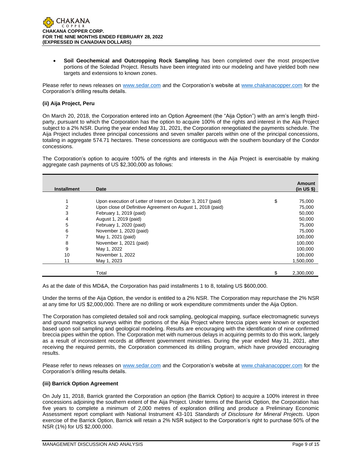

• **Soil Geochemical and Outcropping Rock Sampling** has been completed over the most prospective portions of the Soledad Project. Results have been integrated into our modeling and have yielded both new targets and extensions to known zones.

Please refer to news releases on [www.sedar.com](about:blank) and the Corporation's website at [www.chakanacopper.com](about:blank) for the Corporation's drilling results details.

## **(ii) Aija Project, Peru**

On March 20, 2018, the Corporation entered into an Option Agreement (the "Aija Option") with an arm's length thirdparty, pursuant to which the Corporation has the option to acquire 100% of the rights and interest in the Aija Project subject to a 2% NSR. During the year ended May 31, 2021, the Corporation renegotiated the payments schedule. The Aija Project includes three principal concessions and seven smaller parcels within one of the principal concessions, totaling in aggregate 574.71 hectares. These concessions are contiguous with the southern boundary of the Condor concessions.

The Corporation's option to acquire 100% of the rights and interests in the Aija Project is exercisable by making aggregate cash payments of US \$2,300,000 as follows:

| <b>Installment</b> | Date                                                         | Amount<br>(in US \$) |
|--------------------|--------------------------------------------------------------|----------------------|
|                    |                                                              |                      |
| 1                  | Upon execution of Letter of Intent on October 3, 2017 (paid) | \$<br>75,000         |
| 2                  | Upon close of Definitive Agreement on August 1, 2018 (paid)  | 75,000               |
| 3                  | February 1, 2019 (paid)                                      | 50,000               |
| 4                  | August 1, 2019 (paid)                                        | 50,000               |
| 5                  | February 1, 2020 (paid)                                      | 75,000               |
| 6                  | November 1, 2020 (paid)                                      | 75,000               |
| 7                  | May 1, 2021 (paid)                                           | 100,000              |
| 8                  | November 1, 2021 (paid)                                      | 100,000              |
| 9                  | May 1, 2022                                                  | 100.000              |
| 10                 | November 1, 2022                                             | 100,000              |
| 11                 | May 1, 2023                                                  | 1,500,000            |
|                    |                                                              |                      |
|                    | Total                                                        | 2,300,000            |

As at the date of this MD&A, the Corporation has paid installments 1 to 8, totaling US \$600,000.

Under the terms of the Aija Option, the vendor is entitled to a 2% NSR. The Corporation may repurchase the 2% NSR at any time for US \$2,000,000. There are no drilling or work expenditure commitments under the Aija Option.

The Corporation has completed detailed soil and rock sampling, geological mapping, surface electromagnetic surveys and ground magnetics surveys within the portions of the Aija Project where breccia pipes were known or expected based upon soil sampling and geological modeling. Results are encouraging with the identification of nine confirmed breccia pipes within the option. The Corporation met with numerous delays in acquiring permits to do this work, largely as a result of inconsistent records at different government ministries. During the year ended May 31, 2021, after receiving the required permits, the Corporation commenced its drilling program, which have provided encouraging results.

Please refer to news releases on [www.sedar.com](about:blank) and the Corporation's website at [www.chakanacopper.com](about:blank) for the Corporation's drilling results details.

## **(iii) Barrick Option Agreement**

On July 11, 2018, Barrick granted the Corporation an option (the Barrick Option) to acquire a 100% interest in three concessions adjoining the southern extent of the Aija Project. Under terms of the Barrick Option, the Corporation has five years to complete a minimum of 2,000 metres of exploration drilling and produce a Preliminary Economic Assessment report compliant with National Instrument 43-101 *Standards of Disclosure for Mineral Projects*. Upon exercise of the Barrick Option, Barrick will retain a 2% NSR subject to the Corporation's right to purchase 50% of the NSR (1%) for US \$2,000,000.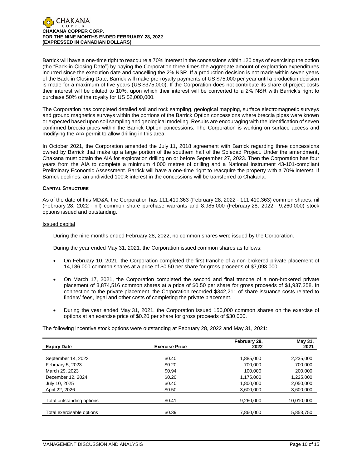

Barrick will have a one-time right to reacquire a 70% interest in the concessions within 120 days of exercising the option (the "Back-in Closing Date") by paying the Corporation three times the aggregate amount of exploration expenditures incurred since the execution date and cancelling the 2% NSR. If a production decision is not made within seven years of the Back-in Closing Date, Barrick will make pre-royalty payments of US \$75,000 per year until a production decision is made for a maximum of five years (US \$375,000). If the Corporation does not contribute its share of project costs their interest will be diluted to 10%, upon which their interest will be converted to a 2% NSR with Barrick's right to purchase 50% of the royalty for US \$2,000,000.

The Corporation has completed detailed soil and rock sampling, geological mapping, surface electromagnetic surveys and ground magnetics surveys within the portions of the Barrick Option concessions where breccia pipes were known or expected based upon soil sampling and geological modeling. Results are encouraging with the identification of seven confirmed breccia pipes within the Barrick Option concessions. The Corporation is working on surface access and modifying the AIA permit to allow drilling in this area.

In October 2021, the Corporation amended the July 11, 2018 agreement with Barrick regarding three concessions owned by Barrick that make up a large portion of the southern half of the Soledad Project. Under the amendment, Chakana must obtain the AIA for exploration drilling on or before September 27, 2023. Then the Corporation has four years from the AIA to complete a minimum 4,000 metres of drilling and a National Instrument 43-101-compliant Preliminary Economic Assessment. Barrick will have a one-time right to reacquire the property with a 70% interest. If Barrick declines, an undivided 100% interest in the concessions will be transferred to Chakana.

## **CAPITAL STRUCTURE**

As of the date of this MD&A, the Corporation has 111,410,363 (February 28, 2022 - 111,410,363) common shares, nil (February 28, 2022 - nil) common share purchase warrants and 8,985,000 (February 28, 2022 - 9,260,000) stock options issued and outstanding.

## Issued capital

During the nine months ended February 28, 2022, no common shares were issued by the Corporation.

During the year ended May 31, 2021, the Corporation issued common shares as follows:

- On February 10, 2021, the Corporation completed the first tranche of a non-brokered private placement of 14,186,000 common shares at a price of \$0.50 per share for gross proceeds of \$7,093,000.
- On March 17, 2021, the Corporation completed the second and final tranche of a non-brokered private placement of 3,874,516 common shares at a price of \$0.50 per share for gross proceeds of \$1,937,258. In connection to the private placement, the Corporation recorded \$342,211 of share issuance costs related to finders' fees, legal and other costs of completing the private placement.
- During the year ended May 31, 2021, the Corporation issued 150,000 common shares on the exercise of options at an exercise price of \$0.20 per share for gross proceeds of \$30,000.

The following incentive stock options were outstanding at February 28, 2022 and May 31, 2021:

|                           |                       | February 28, | May 31,    |
|---------------------------|-----------------------|--------------|------------|
| <b>Expiry Date</b>        | <b>Exercise Price</b> | 2022         | 2021       |
|                           |                       |              |            |
| September 14, 2022        | \$0.40                | 1,885,000    | 2,235,000  |
| February 5, 2023          | \$0.20                | 700,000      | 700,000    |
| March 29, 2023            | \$0.94                | 100,000      | 200,000    |
| December 12, 2024         | \$0.20                | 1,175,000    | 1,225,000  |
| July 10, 2025             | \$0.40                | 1,800,000    | 2,050,000  |
| April 22, 2026            | \$0.50                | 3,600,000    | 3,600,000  |
|                           |                       |              |            |
| Total outstanding options | \$0.41                | 9.260.000    | 10,010,000 |
|                           |                       |              |            |
| Total exercisable options | \$0.39                | 7.860.000    | 5.853.750  |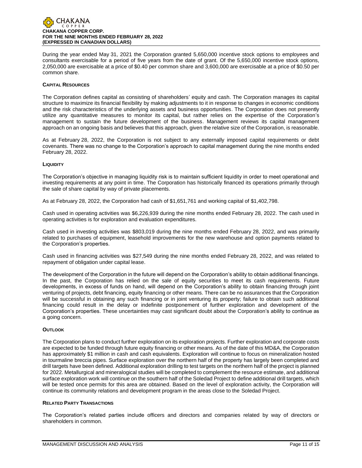

During the year ended May 31, 2021 the Corporation granted 5,650,000 incentive stock options to employees and consultants exercisable for a period of five years from the date of grant. Of the 5,650,000 incentive stock options, 2,050,000 are exercisable at a price of \$0.40 per common share and 3,600,000 are exercisable at a price of \$0.50 per common share.

## **CAPITAL RESOURCES**

The Corporation defines capital as consisting of shareholders' equity and cash. The Corporation manages its capital structure to maximize its financial flexibility by making adjustments to it in response to changes in economic conditions and the risk characteristics of the underlying assets and business opportunities. The Corporation does not presently utilize any quantitative measures to monitor its capital, but rather relies on the expertise of the Corporation's management to sustain the future development of the business. Management reviews its capital management approach on an ongoing basis and believes that this approach, given the relative size of the Corporation, is reasonable.

As at February 28, 2022, the Corporation is not subject to any externally imposed capital requirements or debt covenants. There was no change to the Corporation's approach to capital management during the nine months ended February 28, 2022.

#### **LIQUIDITY**

The Corporation's objective in managing liquidity risk is to maintain sufficient liquidity in order to meet operational and investing requirements at any point in time. The Corporation has historically financed its operations primarily through the sale of share capital by way of private placements.

As at February 28, 2022, the Corporation had cash of \$1,651,761 and working capital of \$1,402,798.

Cash used in operating activities was \$6,226,939 during the nine months ended February 28, 2022. The cash used in operating activities is for exploration and evaluation expenditures.

Cash used in investing activities was \$803,019 during the nine months ended February 28, 2022, and was primarily related to purchases of equipment, leasehold improvements for the new warehouse and option payments related to the Corporation's properties.

Cash used in financing activities was \$27,549 during the nine months ended February 28, 2022, and was related to repayment of obligation under capital lease.

The development of the Corporation in the future will depend on the Corporation's ability to obtain additional financings. In the past, the Corporation has relied on the sale of equity securities to meet its cash requirements. Future developments, in excess of funds on hand, will depend on the Corporation's ability to obtain financing through joint venturing of projects, debt financing, equity financing or other means. There can be no assurances that the Corporation will be successful in obtaining any such financing or in joint venturing its property; failure to obtain such additional financing could result in the delay or indefinite postponement of further exploration and development of the Corporation's properties. These uncertainties may cast significant doubt about the Corporation's ability to continue as a going concern.

## **OUTLOOK**

The Corporation plans to conduct further exploration on its exploration projects. Further exploration and corporate costs are expected to be funded through future equity financing or other means. As of the date of this MD&A, the Corporation has approximately \$1 million in cash and cash equivalents. Exploration will continue to focus on mineralization hosted in tourmaline breccia pipes. Surface exploration over the northern half of the property has largely been completed and drill targets have been defined. Additional exploration drilling to test targets on the northern half of the project is planned for 2022. Metallurgical and mineralogical studies will be completed to complement the resource estimate, and additional surface exploration work will continue on the southern half of the Soledad Project to define additional drill targets, which will be tested once permits for this area are obtained. Based on the level of exploration activity, the Corporation will continue its community relations and development program in the areas close to the Soledad Project.

## **RELATED PARTY TRANSACTIONS**

The Corporation's related parties include officers and directors and companies related by way of directors or shareholders in common.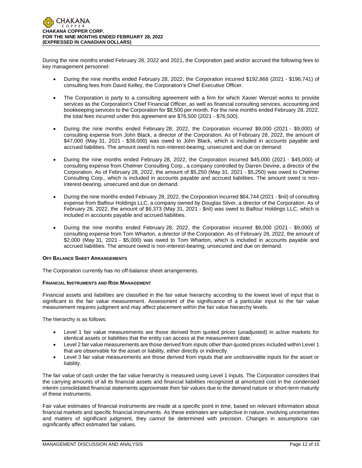During the nine months ended February 28, 2022 and 2021, the Corporation paid and/or accrued the following fees to key management personnel:

- During the nine months ended February 28, 2022, the Corporation incurred \$192,868 (2021 \$196,741) of consulting fees from David Kelley, the Corporation's Chief Executive Officer.
- The Corporation is party to a consulting agreement with a firm for which Xavier Wenzel works to provide services as the Corporation's Chief Financial Officer, as well as financial consulting services, accounting and bookkeeping services to the Corporation for \$8,500 per month. For the nine months ended February 28, 2022, the total fees incurred under this agreement are \$76,500 (2021 - \$76,500).
- During the nine months ended February 28, 2022, the Corporation incurred \$9,000 (2021 \$9,000) of consulting expense from John Black, a director of the Corporation. As of February 28, 2022, the amount of \$47,000 (May 31, 2021 - \$38,000) was owed to John Black, which is included in accounts payable and accrued liabilities. The amount owed is non-interest-bearing, unsecured and due on demand.
- During the nine months ended February 28, 2022, the Corporation incurred \$45,000 (2021 \$45,000) of consulting expense from Chelmer Consulting Corp., a company controlled by Darren Devine, a director of the Corporation. As of February 28, 2022, the amount of \$5,250 (May 31, 2021 - \$5,250) was owed to Chelmer Consulting Corp., which is included in accounts payable and accrued liabilities. The amount owed is noninterest-bearing, unsecured and due on demand.
- During the nine months ended February 28, 2022, the Corporation incurred \$64,744 (2021 \$nil) of consulting expense from Balfour Holdings LLC, a company owned by Douglas Silver, a director of the Corporation. As of February 28, 2022, the amount of \$6,373 (May 31, 2021 - \$nil) was owed to Balfour Holdings LLC, which is included in accounts payable and accrued liabilities.
- During the nine months ended February 28, 2022, the Corporation incurred \$9,000 (2021 \$9,000) of consulting expense from Tom Wharton, a director of the Corporation. As of February 28, 2022, the amount of \$2,000 (May 31, 2021 - \$5,000) was owed to Tom Wharton, which is included in accounts payable and accrued liabilities. The amount owed is non-interest-bearing, unsecured and due on demand.

# **OFF BALANCE SHEET ARRANGEMENTS**

The Corporation currently has no off-balance sheet arrangements.

## **FINANCIAL INSTRUMENTS AND RISK MANAGEMENT**

Financial assets and liabilities are classified in the fair value hierarchy according to the lowest level of input that is significant to the fair value measurement. Assessment of the significance of a particular input to the fair value measurement requires judgment and may affect placement within the fair value hierarchy levels.

The hierarchy is as follows:

- Level 1 fair value measurements are those derived from quoted prices (unadjusted) in active markets for identical assets or liabilities that the entity can access at the measurement date.
- Level 2 fair value measurements are those derived from inputs other than quoted prices included within Level 1 that are observable for the asset or liability, either directly or indirectly.
- Level 3 fair value measurements are those derived from inputs that are unobservable inputs for the asset or liability.

The fair value of cash under the fair value hierarchy is measured using Level 1 inputs. The Corporation considers that the carrying amounts of all its financial assets and financial liabilities recognized at amortized cost in the condensed interim consolidated financial statements approximate their fair values due to the demand nature or short-term maturity of these instruments.

Fair value estimates of financial instruments are made at a specific point in time, based on relevant information about financial markets and specific financial instruments. As these estimates are subjective in nature, involving uncertainties and matters of significant judgment, they cannot be determined with precision. Changes in assumptions can significantly affect estimated fair values.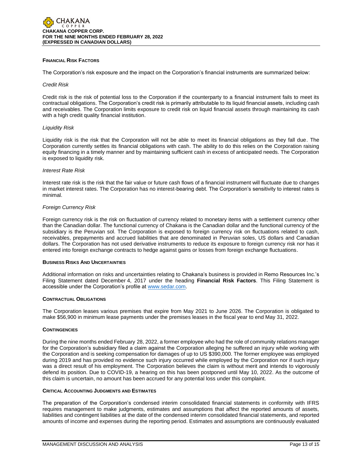## **FINANCIAL RISK FACTORS**

The Corporation's risk exposure and the impact on the Corporation's financial instruments are summarized below:

#### *Credit Risk*

Credit risk is the risk of potential loss to the Corporation if the counterparty to a financial instrument fails to meet its contractual obligations. The Corporation's credit risk is primarily attributable to its liquid financial assets, including cash and receivables. The Corporation limits exposure to credit risk on liquid financial assets through maintaining its cash with a high credit quality financial institution.

## *Liquidity Risk*

Liquidity risk is the risk that the Corporation will not be able to meet its financial obligations as they fall due. The Corporation currently settles its financial obligations with cash. The ability to do this relies on the Corporation raising equity financing in a timely manner and by maintaining sufficient cash in excess of anticipated needs. The Corporation is exposed to liquidity risk.

#### *Interest Rate Risk*

Interest rate risk is the risk that the fair value or future cash flows of a financial instrument will fluctuate due to changes in market interest rates. The Corporation has no interest-bearing debt. The Corporation's sensitivity to interest rates is minimal.

## *Foreign Currency Risk*

Foreign currency risk is the risk on fluctuation of currency related to monetary items with a settlement currency other than the Canadian dollar. The functional currency of Chakana is the Canadian dollar and the functional currency of the subsidiary is the Peruvian sol. The Corporation is exposed to foreign currency risk on fluctuations related to cash, receivables, prepayments and accrued liabilities that are denominated in Peruvian soles, US dollars and Canadian dollars. The Corporation has not used derivative instruments to reduce its exposure to foreign currency risk nor has it entered into foreign exchange contracts to hedge against gains or losses from foreign exchange fluctuations.

## **BUSINESS RISKS AND UNCERTAINTIES**

Additional information on risks and uncertainties relating to Chakana's business is provided in Remo Resources Inc.'s Filing Statement dated December 4, 2017 under the heading **Financial Risk Factors**. This Filing Statement is accessible under the Corporation's profile at [www.sedar.com.](http://www.sedar.com/)

## **CONTRACTUAL OBLIGATIONS**

The Corporation leases various premises that expire from May 2021 to June 2026. The Corporation is obligated to make \$56,900 in minimum lease payments under the premises leases in the fiscal year to end May 31, 2022.

## **CONTINGENCIES**

During the nine months ended February 28, 2022, a former employee who had the role of community relations manager for the Corporation's subsidiary filed a claim against the Corporation alleging he suffered an injury while working with the Corporation and is seeking compensation for damages of up to US \$390,000. The former employee was employed during 2019 and has provided no evidence such injury occurred while employed by the Corporation nor if such injury was a direct result of his employment. The Corporation believes the claim is without merit and intends to vigorously defend its position. Due to COVID-19, a hearing on this has been postponed until May 10, 2022. As the outcome of this claim is uncertain, no amount has been accrued for any potential loss under this complaint.

## **CRITICAL ACCOUNTING JUDGMENTS AND ESTIMATES**

The preparation of the Corporation's condensed interim consolidated financial statements in conformity with IFRS requires management to make judgments, estimates and assumptions that affect the reported amounts of assets, liabilities and contingent liabilities at the date of the condensed interim consolidated financial statements, and reported amounts of income and expenses during the reporting period. Estimates and assumptions are continuously evaluated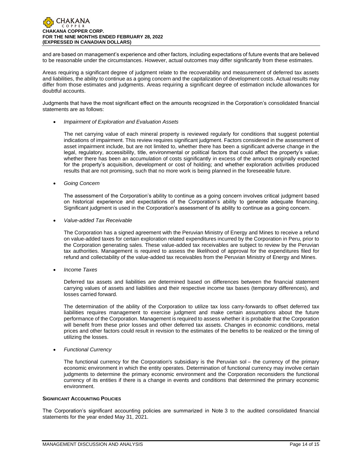and are based on management's experience and other factors, including expectations of future events that are believed to be reasonable under the circumstances. However, actual outcomes may differ significantly from these estimates.

Areas requiring a significant degree of judgment relate to the recoverability and measurement of deferred tax assets and liabilities, the ability to continue as a going concern and the capitalization of development costs. Actual results may differ from those estimates and judgments. Areas requiring a significant degree of estimation include allowances for doubtful accounts.

Judgments that have the most significant effect on the amounts recognized in the Corporation's consolidated financial statements are as follows:

## • *Impairment of Exploration and Evaluation Assets*

The net carrying value of each mineral property is reviewed regularly for conditions that suggest potential indications of impairment. This review requires significant judgment. Factors considered in the assessment of asset impairment include, but are not limited to, whether there has been a significant adverse change in the legal, regulatory, accessibility, title, environmental or political factors that could affect the property's value; whether there has been an accumulation of costs significantly in excess of the amounts originally expected for the property's acquisition, development or cost of holding; and whether exploration activities produced results that are not promising, such that no more work is being planned in the foreseeable future.

• *Going Concern*

The assessment of the Corporation's ability to continue as a going concern involves critical judgment based on historical experience and expectations of the Corporation's ability to generate adequate financing. Significant judgment is used in the Corporation's assessment of its ability to continue as a going concern.

• *Value-added Tax Receivable*

The Corporation has a signed agreement with the Peruvian Ministry of Energy and Mines to receive a refund on value-added taxes for certain exploration related expenditures incurred by the Corporation in Peru, prior to the Corporation generating sales. These value-added tax receivables are subject to review by the Peruvian tax authorities. Management is required to assess the likelihood of approval for the expenditures filed for refund and collectability of the value-added tax receivables from the Peruvian Ministry of Energy and Mines.

• *Income Taxes*

Deferred tax assets and liabilities are determined based on differences between the financial statement carrying values of assets and liabilities and their respective income tax bases (temporary differences), and losses carried forward.

The determination of the ability of the Corporation to utilize tax loss carry-forwards to offset deferred tax liabilities requires management to exercise judgment and make certain assumptions about the future performance of the Corporation. Management is required to assess whether it is probable that the Corporation will benefit from these prior losses and other deferred tax assets. Changes in economic conditions, metal prices and other factors could result in revision to the estimates of the benefits to be realized or the timing of utilizing the losses.

• *Functional Currency*

The functional currency for the Corporation's subsidiary is the Peruvian sol – the currency of the primary economic environment in which the entity operates. Determination of functional currency may involve certain judgments to determine the primary economic environment and the Corporation reconsiders the functional currency of its entities if there is a change in events and conditions that determined the primary economic environment.

## **SIGNIFICANT ACCOUNTING POLICIES**

The Corporation's significant accounting policies are summarized in Note 3 to the audited consolidated financial statements for the year ended May 31, 2021.